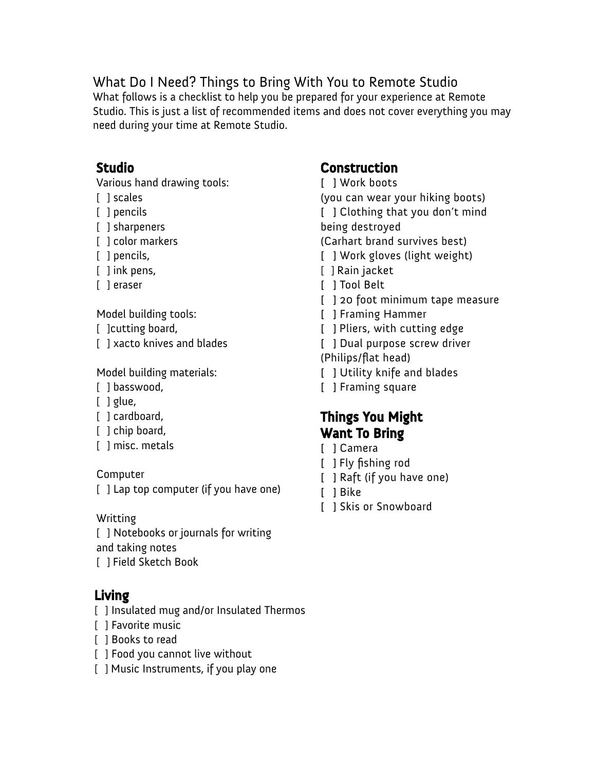## What Do I Need? Things to Bring With You to Remote Studio

What follows is a checklist to help you be prepared for your experience at Remote Studio. This is just a list of recommended items and does not cover everything you may need during your time at Remote Studio.

#### Studio

Various hand drawing tools:

- [ ] scales
- [ ] pencils
- [ ] sharpeners
- [ ] color markers
- [ ] pencils,
- [ ] ink pens,
- [ ] eraser

Model building tools:

- [ ] cutting board,
- [ ] xacto knives and blades

Model building materials:

- [ ] basswood,
- $[$   $]$  glue,
- [ ] cardboard,
- [ ] chip board,
- [ ] misc. metals

Computer

[ ] Lap top computer (if you have one)

Writting

[ ] Notebooks or journals for writing and taking notes

[ ] Field Sketch Book

#### Living

- [ ] Insulated mug and/or Insulated Thermos
- [ ] Favorite music
- [ ] Books to read
- [ ] Food you cannot live without
- [ ] Music Instruments, if you play one

## **Construction**

- [ ] Work boots (you can wear your hiking boots) [ ] Clothing that you don't mind being destroyed (Carhart brand survives best)
- [ ] Work gloves (light weight)
- [ ] Rain jacket
- [ ] Tool Belt
- [ ] 20 foot minimum tape measure
- [ ] Framing Hammer
- [ ] Pliers, with cutting edge
- [ ] Dual purpose screw driver
- (Philips/flat head)
- [ ] Utility knife and blades
- [ ] Framing square

## Things You Might Want To Bring

- [ ] Camera
- [ ] Fly fishing rod
- [ ] Raft (if you have one)
- [ ] Bike
- [ ] Skis or Snowboard